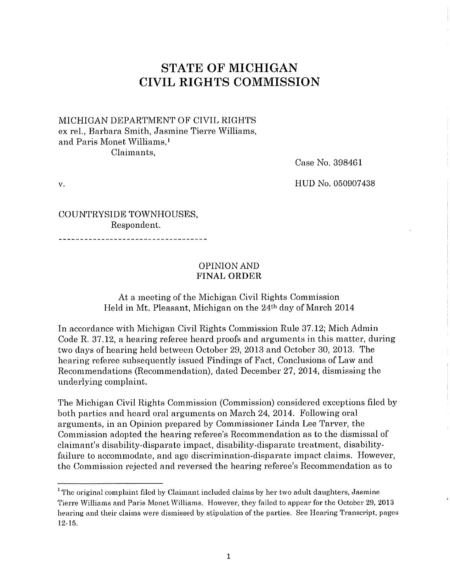# **STATE OF MICHIGAN CIVIL RIGHTS COMMISSION**

#### MICHIGAN DEPARTMENT OF CIVIL RIGHTS ex rel., Barbara Smith, Jasmine Tierre Williams, and Paris Monet Williams, <sup>1</sup> Claimants,

Case No. 398461

v.

HUD No. 050907438

COUNTRYSIDE TOWNHOUSES, Respondent.

#### OPINION AND **FINAL ORDER**

#### At a meeting of the Michigan Civil Rights Commission Held in Mt. Pleasant, Michigan on the 24th day of March 2014

In accordance with Michigan Civil Rights Commission Rule 37.12; Mich Admin Code R. 37 .12, a hearing referee heard proofs and arguments in this matter, during two days of hearing held between October 29, 2013 and October 30, 2013. The hearing referee subsequently issued Findings of Fact, Conclusions of Law and Recommendations (Recommendation), dated December 27, 2014, dismissing the underlying complaint.

The Michigan Civil Rights Commission (Commission) considered exceptions filed by both parties and heard oral arguments on March 24, 2014. Following oral arguments, in an Opinion prepared by Commissioner Linda Lee Tarver, the Commission adopted the hearing referee's Recommendation as to the dismissal of claimant's disability·disparate impact, disability-disparate treatment, disabilityfailure to accommodate, and age discrimination-disparate impact claims. However, the Commission rejected and reversed the hearing referee's Recommendation as to

<sup>&</sup>lt;sup>1</sup> The original complaint filed by Claimant included claims by her two adult daughters, Jasmine Tierre Williams and Paris Monet Williams. However, they failed to appear for the October 29, 2013 **hearing and their claims were dismissed by stipulation of the parties. See Hearing Transcript, pages**  12·15.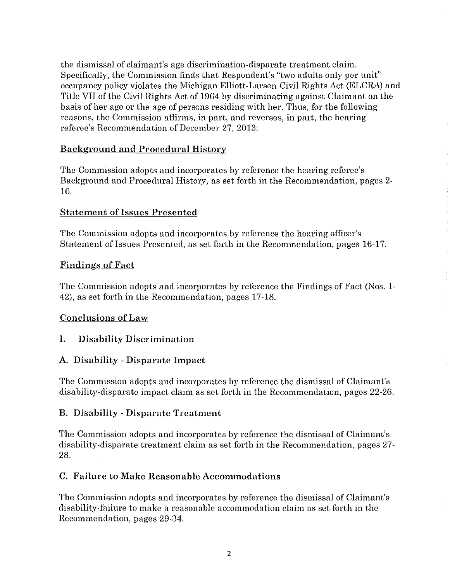the dismissal of claimant's age discrimination-disparate treatment claim. Specifically, the Commission finds that Respondent's "two adults only per unit" occupancy policy violates the Michigan Elliott-Larsen Civil Rights Act (ELCRA) and Title VII of the Civil Rights Act of 1964 by discriminating against Claimant on the basis of her age or the age of persons residing with her. Thus, for the following reasons, the Commission affirms, in part, and reverses, in part, the hearing referee's Recommendation of December 27, 2013:

## Background and Procedural History

The Commission adopts and incorporates by reference the hearing referee's Background and Procedural History, as set forth in the Recommendation, pages 2- 16.

## Statement of Issues Presented

The Commission adopts and incorporates by reference the hearing officer's Statement of Issues Presented, as set forth in the Recommendation, pages 16-17.

## Findings of Fact

The Commission adopts and incorporates by reference the Findings of Fact (Nos. 1- 42), as set forth in the Recommendation, pages 17-18.

## Conclusions of Law

## I. Disability Discrimination

## A. Disability- Disparate Impact

The Commission adopts and incorporates by reference the dismissal of Claimant's disability-disparate impact claim as set forth in tho Recommendation, pages 22-26.

## B. Disability -Disparate Treatment

The Commission adopts and incorporates by reference the dismissal of Claimant's disability-disparate treatment claim as set forth in the Recommendation, pages 27- 28.

## C. Failure to Make Reasonable Accommodations

The Commission adopts and incorporates by reference the dismissal of Claimant's disability-failure to make a reasonable accommodation claim as set forth in the Recommendation, pages 29-34.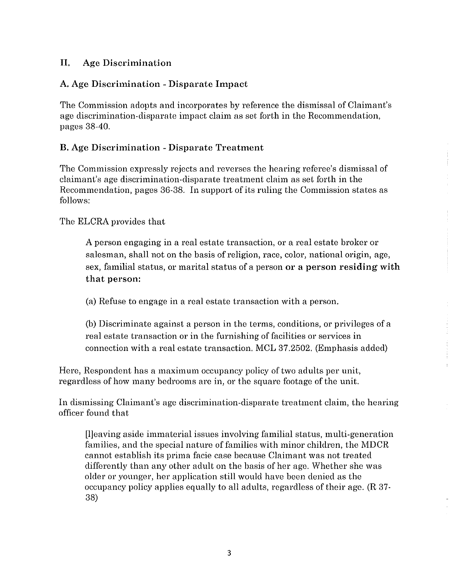## II. Age Discrimination

# A. Age Discrimination -Disparate Impact

The Commission adopts and incorporates by reference the dismissal of Claimant's age discrimination-disparate impact claim as set forth in the Recommendation, pages 38-40.

## B. Age Discrimination -Disparate Treatment

The Commission expressly rejects and reverses the hearing referee's dismissal of claimant's age discrimination-disparate treatment claim as set forth in the Recommendation, pages 36-38. In support of its ruling the Commission states as follows:

The ELCRA provides that

A person engaging in a real estate transaction, or a real estate broker or salesman, shall not on the basis of religion, race, color, national origin, age, sex, familial status, or marital status of a person or a person residing with that person:

(a) Refuse *to* engage in a real estate transaction with a person.

(b) Discriminate against a person in the terms, conditions, or privileges of a real estate transaction or in the furnishing of facilities or services in connection with a real estate transaction. MCL 37.2502. (Emphasis added)

Here, Respondent has a maximum occupancy policy of two adults per unit, regardless of how many bedrooms are in, or the square footage of the unit.

In dismissing Claimant's age discrimination-disparate treatment claim, the hearing officer found that

[l]eaving aside immaterial issues involving familial status, multi-generation families, and the special nature of families with minor children, the MDCR cannot establish its prima facie case because Claimant was not treated differently than any other adult on the basis of her age. Whether she was older or younger, her application still would have been denied as the occupancy policy applies equally to all adults, regardless of their age. (R 37- 38)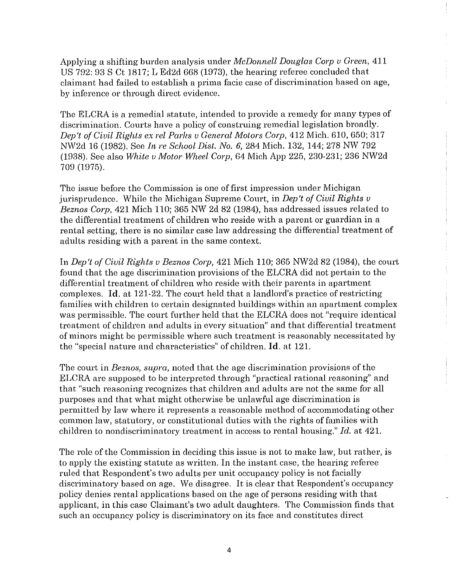Applying a shifting burden analysis under *McDonnell Douglas Corp v Green*, 411 US 792: 93 S Ct 1817; L Ed2d 668 (1973), the hearing referee concluded that claimant had failed to establish a prima facie case of discrimination based on age, by inference or through direct evidence.

The ELCRA is a remedial statute, intended to provide a remedy for many types of discrimination. Courts have a policy of construing remedial legislation broadly. *Dep't of Civil Rights ex rel Parhs v General Motors Cmp,* 412 Mich. 610, 650; 317 NW2d 16 (1982). See *In re School Dist. No. 6,* 284 Mich. 132, 144; 278 NW 792 (1938). See also *White v Motor Wheel Corp,* 64 Mich App 225, 230-231; 236 NW2d 709 (1975).

The issue before the Commission is one of first impression under Michigan jurisprudence. While the Michigan Supreme Court, in *Dep't of Civil Rights v Beznos Cmp,* 421 Mich 110; 365 NW 2d 82 (1984), has addressed issues related to the differential treatment of children who reside with a parent or guardian in a rental setting, there is no similar case law addressing the differential treatment of adults residing with a parent in the same context.

In *Dep't of Civil Rights v Beznos Corp,* 421 Mich 110; 365 NW2d 82 (1984), the court found that the age discrimination provisions of the ELCRA did not pertain to the differential treatment of children who reside with their parents in apartment complexes. Id. at 121-22. The court held that a landlord's practice of restricting families with children to certain designated buildings within an apartment complex was permissible. The court further held that the ELCRA does not "require identical treatment of children and adults in every situation" and that differential treatment of minors might be permissible where such treatment is reasonably necessitated by the "special nature and characteristics" of children. Id. at 121.

The court in *Beznos, supra,* noted that the age discrimination provisions of the ELCRA are supposed to be interpreted through "practical rational reasoning" and that "such reasoning recognizes that children and adults are not the same for all purposes and that what might otherwise be unlawful age discrimination is permitted by law where it represents a reasonable method of accommodating other common law, statutory, or constitutional duties with the rights of families with children to nondiscriminatory treatment in access to rental housing." *Icl.* at 421.

The role of the Commission in deciding this issue is not to make law, but rather, is to apply the existing statute as written. In the instant case, the hearing referee ruled that Respondent's two adults per unit occupancy policy is not facially discriminatory based on age. We disagree. It is clear that Respondent's occupancy policy denies rental applications based on the age of persons residing with that applicant, in this case Claimant's two adult daughters. The Commission finds that such an occupancy policy is discriminatory on its face and constitutes direct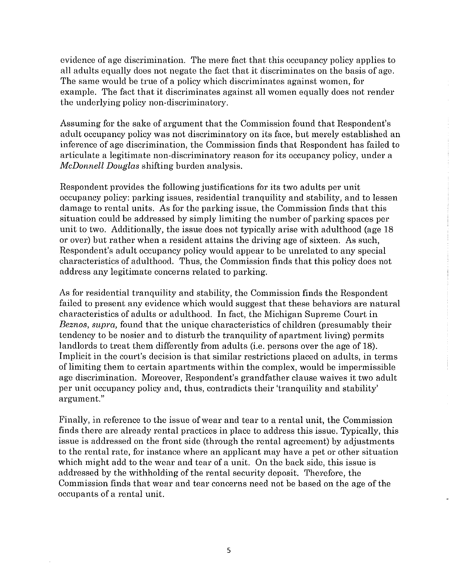evidence of age discrimination. The mere fact that this occupancy policy applies to all adults equally does not negate the fact that it discriminates on the basis of age. The same would be true of a policy which discriminates against women, for example. The fact that it discriminates against all women equally does not render the underlying policy non-discriminatory.

Assuming for the sake of argument that the Commission found that Respondent's adult occupancy policy was not discriminatory on its face, but merely established an inference of age discrimination, the Commission finds that Respondent has failed to articulate a legitimate non-discriminatory reason for its occupancy policy, under a *McDonnell Douglas* shifting burden analysis.

Respondent provides the following justifications for its two adults per unit occupancy policy: parking issues, residential tranquility and stability, and to lessen damage to rental units. As for the parking issue, the Commission finds that this situation could be addressed by simply limiting the number of parking spaces per unit to two. Additionally, the issue does not typically arise with adulthood (age 18 or over) but rather when a resident attains the driving age of sixteen. As such, Respondent's adult occupancy policy would appear to be umelated to any special characteristics of adulthood. Thus, the Commission finds that this policy does not address any legitimate concerns related to parking.

As for residential tranquility and stability, the Commission finds the Respondent failed to present any evidence which would suggest that these behaviors are natural characteristics of adults or adulthood. In fact, the Michigan Supreme Court in *Beznos, supra,* found that the unique characteristics of children (presumably their tendency to be nosier and to disturb the tranquility of apartment living) permits landlords to treat them differently from adults (i.e. persons over the age of 18). Implicit in the court's decision is that similar restrictions placed on adults, in terms of limiting them to certain apartments within the complex, would be impermissible age discrimination. Moreover, Respondent's grandfather clause waives it two adult per unit occupancy policy and, thus, contradicts their 'tranquility and stability' argument."

Finally, in reference to the issue of wear and tear to a rental unit, the Commission finds there are already rental practices in place to address this issue. Typically, this issue is addressed on the front side (through the rental agreement) by adjustments to the rental rate, for instance where an applicant may have a pet or other situation which might add to the wear and tear of a unit. On the back side, this issue is addressed by the withholding of the rental security deposit. Therefore, the Commission finds that wear and tear concerns need not be based on the age of the occupants of a rental unit.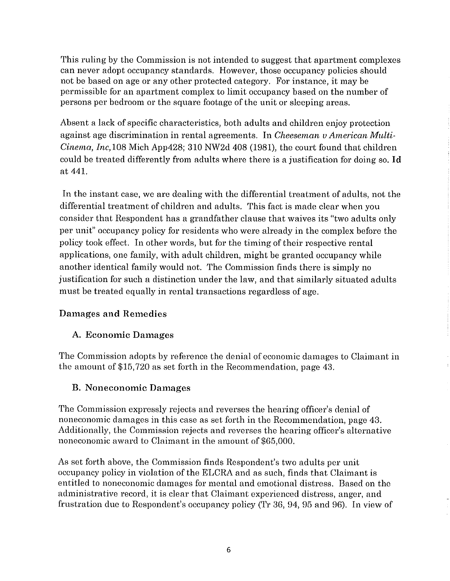This ruling by the Commission is not intended to suggest that apartment complexes can never adopt occupancy standards. However, those occupancy policies should not be based on age or any other protected category. For instance, it may be permissible for an apartment complex to limit occupancy based on the number of persons per bedroom or the square footage of the unit or sleeping areas.

Absent a lack of specific characteristics, both adults and children enjoy protection against age discrimination in rental agreements. In *Cheeseman u American Mnlti-Cinema, Inc,108* Mich App428; 310 NW2d 408 (1981), the court found that children could be treated differently from adults where there is a justification for doing so. Id at 441.

In the instant case, we are dealing with the differential treatment of adults, not the differential treatment of children and adults. This fact is made clear when you consider that Respondent has a grandfather clause that waives its "two adults only per unit" occupancy policy for residents who were already in the complex before the policy took effect. In other words, but for the timing of their respective rental applications, one family, with adult children, might be granted occupancy while another identical family would not. The Commission finds there is simply no justification for such a distinction under the law, and that similarly situated adults must be treated equally in rental transactions regardless of age.

## Damages **and** Remedies

## A. Economic Damages

The Commission adopts by reference the denial of economic damages to Claimant in the amount of \$15,720 as set forth in the Recommendation, page 43.

## **B.** Noneconomic Damages

The Commission expressly rejects and reverses the hearing officer's denial of noneconomic damages in this case as set forth in the Recommendation, page 43. Additionally, the Commission rejects and reverses the hearing officer's alternative noneconomic award to Claimant in the amount of \$65,000.

As set forth above, the Commission finds Respondent's two adults per unit occupancy policy in violation of the ELCRA and as such, finds that Claimant is entitled to noneconomic damages for mental and emotional distress. Based on the administrative record, it is clear that Claimant experienced distress, anger, and frustration due to Respondent's occupancy policy (Tr 36, 94, 95 and 96). In view of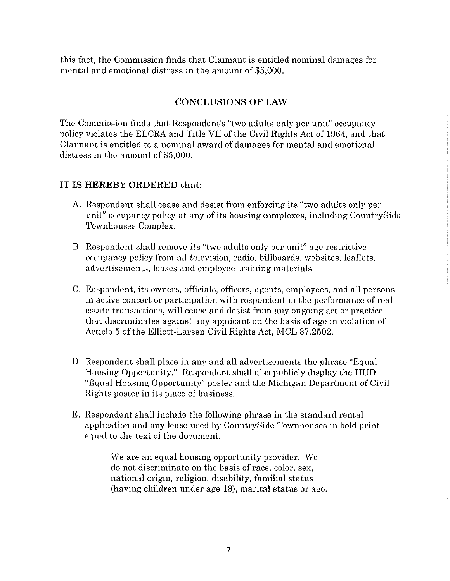this fact, the Commission finds that Claimant is entitled nominal damages for mental and emotional distress in the amount of \$5,000.

#### **CONCLUSIONS OF LAW**

The Commission finds that Respondent's "two adults only per unit" occupancy policy violates the ELCRA and Title VII of the Civil Rights Act of 1964, and that Claimant is entitled to a nominal award of damages for mental and emotional distress in the amount of \$5,000.

#### **IT IS HEREBY ORDERED that:**

- A. Respondent shall cease and desist from enforcing its "two adults only per unit" occupancy policy at any of its housing complexes, including CountrySide Townhouses Complex.
- B. Respondent shall remove its "two adults only per unit" age restrictive occupancy policy from all television, radio, billboards, websites, leaflets, advertisements, leases and employee training materials.
- C. Respondent, its owners, officials, officers, agents, employees, and all persons in active concert or participation with respondent in the performance of real estate transactions, will cease and desist from any ongoing act or practice that discriminates against any applicant on the basis of age in violation of Article 5 of the Elliott-Larsen Civil Rights Act, MCL 37.2502.
- D. Respondent shall place in any and all advertisements the phrase "Equal Housing Opportunity." Respondent shall also publicly display the HUD "Equal Housing Opportunity" poster and the Michigan Department of Civil Rights poster in its place of business.
- E. Respondent shall include the following phrase in the standard rental application and any lease used by CountrySide Townhouses in bold print equal to the text of the document:

We are an equal housing opportunity provider. We do not discriminate on the basis of race, color, sex, national origin, religion, disability, familial status (having children under age 18), marital status or age.